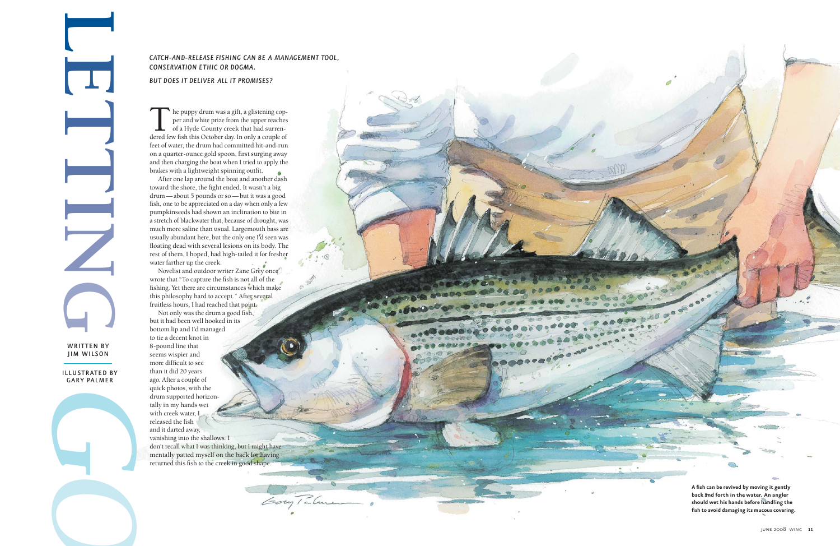**A fish can be revived by moving it gently back and forth in the water. An angler should wet his hands before handling the fish to avoid damaging its mucous covering.**

The puppy drum was a gift, a glistening cop<br>per and white prize from the upper reache<br>of a Hyde County creek that had surren-<br>dered few fish this October day. In only a couple of he puppy drum was a gift, a glistening copper and white prize from the upper reaches of a Hyde County creek that had surren dered few fish this October day. In only a couple of feet of water, the drum had committed hit-and-run on a quarter-ounce gold spoon, first surging away and then charging the boat when I tried to apply the brakes with a lightweight spinning outfit.

After one lap around the boat and another dash toward the shore, the fight ended. It wasn't a big drum — about 5 pounds or so — but it was a good fish, one to be appreciated on a day when only a few pu mpkinseeds had shown an inclination to bite in a stretch of blackwater that, because of drought, was much more saline than usual. Largemouth bass are usually abundant here, but the only one I'd seen was floating dead with several lesions on its body. The rest of them, I hoped, had high-tailed it for fresher water farther up the creek.

Novelist and outdoor writer Zane Grey once wrote that "To capture the fish is not all of the fishing. Yet there are circumstances which make this philosophy hard to accept." After several fruitless hours, I had reached that point.

 $.600000$ 

Not only was the drum a good fish, but it had been well hooked in its bottom lip and I'd managed to tie a decent knot in 8-pound line that seems wispier and more difficult to see than it did 20 years ago. After a couple of quick photos, with the drum supported horizon -tally in my hands wet with creek water, I released the fish and it darted away, vanishing into the shallows. I don't recall what I was thinking, but I might have

me ntally patted myself on the back for having returned this fish to the creek in good shape.

Gory Ialm

## *CATCH-AND-RELEASE FISHING CAN BE A MANAGEMENT TOOL, CONSERVATION ETHIC OR DOGMA.*

## *BUT DOES IT DELIVER ALL IT PROMISES?*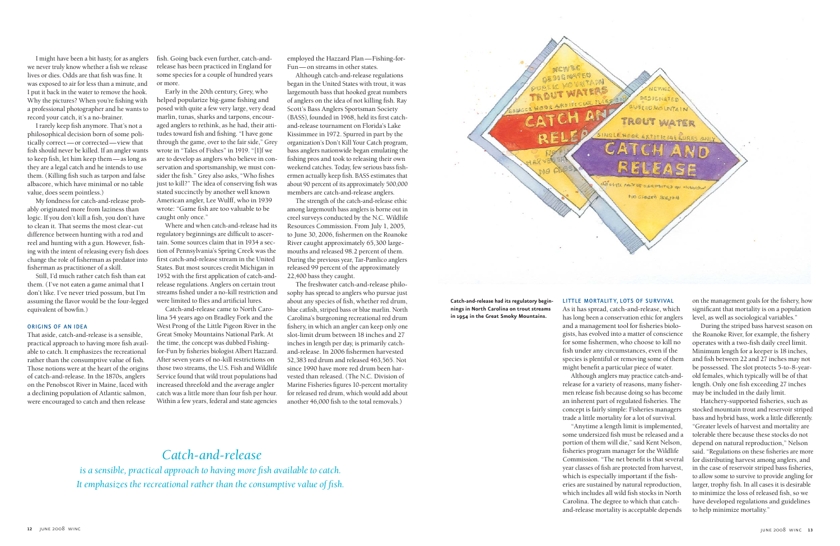**Catch-and-release had its regulatory beginnings in North Carolina on trout streams in 1954 in the Great Smoky Mountains.**

### LITTLE MORTALITY, LOTS OF SURVIVAL

BLIC WATERS

and a management tool for fisheries biologists, has evolved into a matter of conscience species is plentiful or removing some of them concept is fairly simple: Fisheries managers some undersized fish must be released and a Commission. "The net benefit is that several which includes all wild fish stocks in North

Although anglers may practice catch-and-"Anytime a length limit is implemented,

As it has spread, catch-and-release, which has long been a conservation ethic for anglers for some fishermen, who choose to kill no fish under any circumstances, even if the might benefit a particular piece of water. release for a variety of reasons, many fishermen release fish because doing so has become an inherent part of regulated fisheries. The trade a little mortality for a lot of survival. portion of them will die," said Kent Nelson, fisheries program manager for the Wildlife year classes of fish are protected from harvest, which is especially important if the fisheries are sustained by natural reproduction, Carolina. The degree to which that catchand-release mortality is acceptable depends

on the management goals for the fishery, how significant that mortality is on a population level, as well as sociological variables."

During the striped bass harvest season on the Roanoke River, for example, the fishery operates with a two-fish daily creel limit. Minimum length for a keeper is 18 inches, and fish between 22 and 27 inches may not be possessed. The slot protects 5-to-8-yearold females, which typically will be of that length. Only one fish exceeding 27 inches may be included in the daily limit.

My fondness for catch-and-release probably originated more from laziness than logic. If you don't kill a fish, you don't have to clean it. That seems the most clear-cut difference between hunting with a rod and reel and hunting with a gun. However, fishing with the intent of releasing every fish does change the role of fisherman as predator into fisherman as practitioner of a skill.

> Hatchery-supported fisheries, such as stocked mountain trout and reservoir striped bass and hybrid bass, work a little differently. "Greater levels of harvest and mortality are tolerable there because these stocks do not depend on natural reproduction," Nelson said. "Regulations on these fisheries are more for distributing harvest among anglers, and in the case of reservoir striped bass fisheries, to allow some to survive to provide angling for larger, trophy fish. In all cases it is desirable to minimize the loss of released fish, so we have developed regulations and guidelines to help minimize mortality."

I might have been a bit hasty, for as anglers we never truly know whether a fish we release lives or dies. Odds are that fish was fine. It was exposed to air for less than a minute, and I put it back in the water to remove the hook. Why the pictures? When you're fishing with a professional photographer and he wants to record your catch, it's a no-brainer.

I rarely keep fish anymore. That's not a philosophical decision born of some politically correct-or corrected-view that fish should never be killed. If an angler wants to keep fish, let him keep them — as long as they are a legal catch and he intends to use them. (Killing fish such as tarpon and false albacore, which have minimal or no table value, does seem pointless.)

> Catch-and-release came to North Carolina 54 years ago on Bradley Fork and the West Prong of the Little Pigeon River in the Great Smoky Mountains National Park. At the time, the concept was dubbed Fishingfor-Fun by fisheries biologist Albert Hazzard. After seven years of no-kill restrictions on those two streams, the U.S. Fish and Wildlife Service found that wild trout populations had increased threefold and the average angler catch was a little more than four fish per hour. Within a few years, federal and state agencies

employed the Hazzard Plan —Fishing-for-Fun — on streams in other states.

Still, I'd much rather catch fish than eat them. (I've not eaten a game animal that I don't like. I've never tried possum, but I'm assuming the flavor would be the four-legged equivalent of bowfin.)

### ORIGINS OF AN IDEA

The freshwater catch-and-release philosophy has spread to anglers who pursue just about any species of fish, whether red drum, blue catfish, striped bass or blue marlin. North Carolina's burgeoning recreational red drum fishery, in which an angler can keep only one slot-limit drum between 18 inches and 27 inches in length per day, is primarily catchand-release. In 2006 fishermen harvested 52,383 red drum and released 463,565. Not since 1990 have more red drum been harvested than released. (The N.C. Division of Marine Fisheries figures 10-percent mortality for released red drum, which would add about another 46,000 fish to the total removals.)

That aside, catch-and-release is a sensible, practical approach to having more fish available to catch. It emphasizes the recreational rather than the consumptive value of fish. Those notions were at the heart of the origins of catch-and-release. In the 1870s, anglers on the Penobscot River in Maine, faced with a declining population of Atlantic salmon, were encouraged to catch and then release

fish. Going back even further, catch-andrelease has been practiced in England for some species for a couple of hundred years or more.

Early in the 20th century, Grey, who helped popularize big-game fishing and posed with quite a few very large, very dead marlin, tunas, sharks and tarpons, encouraged anglers to rethink, as he had, their attitudes toward fish and fishing. "I have gone through the game, over to the fair side," Grey wrote in "Tales of Fishes" in 1919. "[I]f we are to develop as anglers who believe in conservation and sportsmanship, we must consider the fish." Grey also asks, "Who fishes just to kill?" The idea of conserving fish was stated succinctly by another well known American angler, Lee Wulff, who in 1939 wrote: "Game fish are too valuable to be caught only once."

Where and when catch-and-release had its regulatory beginnings are difficult to ascer tain. Some sources claim that in 1934 a section of Pennsylvania's Spring Creek was the first catch-and-release stream in the United States. But most sources credit Michigan in 1952 with the first application of catch-andrelease regulations. Anglers on certain trout streams fished under a no-kill restriction and were limited to flies and artificial lures.

Although catch-and-release regulations began in the United States with trout, it was largemouth bass that hooked great numbers of anglers on the idea of not killing fish. Ray Scott's Bass Anglers Sportsman Society (BASS), founded in 1968, held its first catchand-release tournament on Florida's Lake Kissimmee in 1972. Spurred in part by the organization's Don't Kill Your Catch program, bass anglers nation wide began emulating the fishing pros and took to releasing their own weekend catches. Today, few serious bass fishermen actually keep fish. BASS estimates that about 90 percent of its approximately 500,000 members are catch-and-release anglers.

The strength of the catch-and-release ethic among largemouth bass anglers is borne out in creel surveys conducted by the N.C. Wildlife Resources Commission. From July 1, 2005, to June 30, 2006, fishermen on the Roanoke River caught approximately 65,300 largemouths and released 98.2 percent of them. During the previous year, Tar-Pamlico anglers released 99 percent of the approximately 22,400 bass they caught.

# *Catch-and-release*

*is a sensible, practical approach to having more fish available to catch. It emphasizes the recreational rather than the consumptive value of fish.*

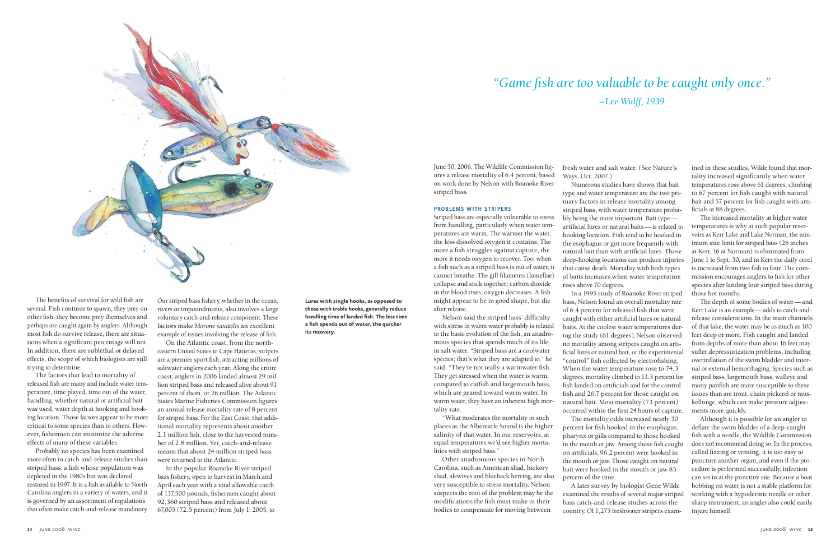June 30, 2006. The Wildlife Commission figures a release mortality of 6.4 percent, based on work done by Nelson with Roanoke River striped bass.

#### PROBLEMS WITH STRIPERS

Striped bass are especially vulnerable to stress from handling, particularly when water temperatures are warm. The warmer the water, the less dissolved oxygen it contains. The more a fish struggles against capture, the more it needs oxygen to recover. Too, when a fish such as a striped bass is out of water, it cannot breathe. The gill filaments (lamellae) collapse and stick together; carbon dioxide in the blood rises; oxygen decreases. A fish might appear to be in good shape, but die after release.

Nelson said the striped bass' difficulty with stress in warm water probably is related to the basic evolution of the fish, an anadromous species that spends much of its life in salt water. "Striped bass are a coolwater species; that's what they are adapted to," he said. "They're not really a warmwater fish. They get stressed when the water is warm, compared to catfish and largemouth bass, which are geared toward warm water. In warm water, they have an inherent high mortality rate.

"What moderates the mortality in such places as the Albemarle Sound is the higher salinity of that water. In our reservoirs, at equal temperatures we'd see higher mortalities with striped bass."

Other anadromous species in North Carolina, such as American shad, hickory shad, alewives and blueback herring, are also very susceptible to stress mortality. Nelson suspects the root of the problem may be the modifications the fish must make in their bodies to compensate for moving between

fresh water and salt water. (See Nature's Ways, Oct. 2007.)

ined in these studies, Wilde found that mortality increased significantly when water temperatures rose above 61 degrees, climbing to 67 percent for fish caught with natural bait and 57 percent for fish caught with artificials at 88 degrees.

Numerous studies have shown that bait type and water temperature are the two primary factors in release mortality among striped bass, with water temperature probably being the more important. Bait type artificial lures or natural baits — is related to hooking location. Fish tend to be hooked in the esophagus or gut more frequently with natural bait than with artificial lures. Those deep-hooking locations can produce injuries that cause death. Mortality with both types of baits increases when water temperature rises above 70 degrees.

In a 1995 study of Roanoke River striped bass, Nelson found an overall mortality rate of 6.4 percent for released fish that were caught with either artificial lures or natural baits. At the coolest water temperatures during the study (61 degrees), Nelson observed no mortality among stripers caught on artificial lures or natural bait, or the experimental "control" fish collected by electrofishing. When the water temperature rose to 74.3 degrees, mortality climbed to 13.3 percent for fish landed on artificials and for the control fish and 26.7 percent for those caught on natural bait. Most mortality (73 percent) occurred within the first 24 hours of capture. The mortality odds increased nearly 30 percent for fish hooked in the esophagus, pharynx or gills compared to those hooked in the mouth or jaw. Among those fish caught on artificials, 96.2 percent were hooked in the mouth or jaw. Those caught on natural bait were hooked in the mouth or jaw 83

percent of the time.

A later survey by biologist Gene Wilde examined the results of several major striped bass catch-and-release studies across the country. Of 1,275 freshwater stripers exam -

On the Atlantic coast, from the northeastern United States to Cape Hatteras, stripers are a premier sport fish, attracting millions of saltwater anglers each year. Along the entire coast, anglers in 2006 landed almost 29 million striped bass and released alive about 91 percent of them, or 26 million. The Atlantic States Marine Fisheries Commission figures

The increased mortality at higher water temperatures is why at such popular reser voirs as Kerr Lake and Lake Norman, the minimum size limit for striped bass (26 inches at Kerr, 16 at Norman) is eliminated from June 1 to Sept. 30, and in Kerr the daily creel is increased from two fish to four. The commission encourages anglers to fish for other species after landing four striped bass during those hot months.

The depth of some bodies of water — and Kerr Lake is an example — adds to catch-andrelease considerations. In the main channels of that lake, the water may be as much as 100 feet deep or more. Fish caught and landed from depths of more than about 16 feet may suffer depressurization problems, including overinflation of the swim bladder and inter nal or external hemorrhaging. Species such as striped bass, largemouth bass, walleye and many panfish are more susceptible to these issues than are trout, chain pickerel or muskellunge, which can make pressure adjustments more quickly.

Although it is possible for an angler to deflate the swim bladder of a deep-caught fish with a needle, the Wildlife Commission does not recommend doing so. In the process, called fizzing or venting, it is too easy to puncture another organ, and even if the procedure is performed successfully, infection can set in at the puncture site. Because a boat bobbing on water is not a stable platform for working with a hypodermic needle or other sharp instrument, an angler also could easily injure himself.

# *"Game fish are too valuable to be caught only once." –Lee Wulff, 1939*

**Lures with single hooks, as opposed to those with treble hooks, generally reduce handling time of landed fish. The less time a fish spends out of water, the quicker its recovery.**



The benefits of survival for wild fish are several. Fish continue to spawn, they prey on other fish, they become prey themselves and perhaps are caught again by anglers. Although most fish do survive release, there are situations when a significant percentage will not. In addition, there are sublethal or delayed effects, the scope of which biologists are still trying to determine.

The factors that lead to mortality of released fish are many and include water temperature, time played, time out of the water, handling, whether natural or artificial bait was used, water depth at hooking and hooking location. Those factors appear to be more critical to some species than to others. How ever, fishermen can minimize the adverse effects of many of these variables.

Probably no species has been examined more often in catch-and-release studies than striped bass, a fish whose population was depleted in the 1980s but was declared restored in 1997. It is a fish available to North Carolina anglers in a variety of waters, and it is governed by an assortment of regulations that often make catch-and-release mandatory. Our striped bass fishery, whether in the ocean, rivers or impoundments, also involves a large voluntary catch-and-release component. These factors make *Morone saxatilis* an excellent example of issues involving the release of fish.

an annual release mortality rate of 8 percent for striped bass. For the East Coast, that additional mortality represents about another 2.1 million fish, close to the harvested number of 2.8 million. Yet, catch-and-release means that about 24 million striped bass were returned to the Atlantic.

In the popular Roanoke River striped bass fishery, open to harvest in March and April each year with a total allowable catch of 137,500 pounds, fishermen caught about 92,360 striped bass and released about 67,005 (72.5 percent) from July 1, 2005, to